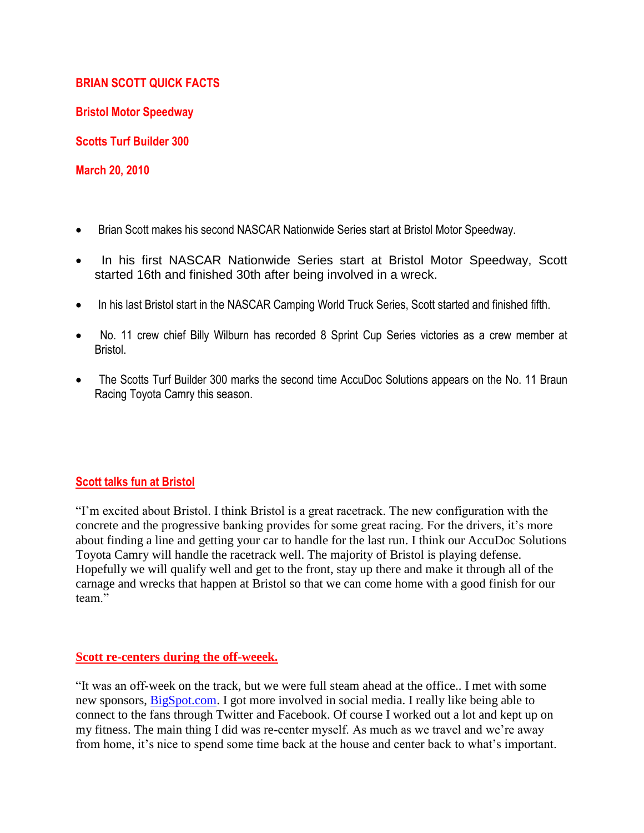## **BRIAN SCOTT QUICK FACTS**

**Bristol Motor Speedway**

**Scotts Turf Builder 300**

**March 20, 2010**

- Brian Scott makes his second NASCAR Nationwide Series start at Bristol Motor Speedway.
- In his first NASCAR Nationwide Series start at Bristol Motor Speedway, Scott started 16th and finished 30th after being involved in a wreck.
- In his last Bristol start in the NASCAR Camping World Truck Series, Scott started and finished fifth.
- No. 11 crew chief Billy Wilburn has recorded 8 Sprint Cup Series victories as a crew member at Bristol.
- The Scotts Turf Builder 300 marks the second time AccuDoc Solutions appears on the No. 11 Braun Racing Toyota Camry this season.

# **Scott talks fun at Bristol**

"I'm excited about Bristol. I think Bristol is a great racetrack. The new configuration with the concrete and the progressive banking provides for some great racing. For the drivers, it's more about finding a line and getting your car to handle for the last run. I think our AccuDoc Solutions Toyota Camry will handle the racetrack well. The majority of Bristol is playing defense. Hopefully we will qualify well and get to the front, stay up there and make it through all of the carnage and wrecks that happen at Bristol so that we can come home with a good finish for our team."

## **Scott re-centers during the off-weeek.**

"It was an off-week on the track, but we were full steam ahead at the office.. I met with some new sponsors, [BigSpot.com.](http://bigspot.com/) I got more involved in social media. I really like being able to connect to the fans through Twitter and Facebook. Of course I worked out a lot and kept up on my fitness. The main thing I did was re-center myself. As much as we travel and we're away from home, it's nice to spend some time back at the house and center back to what's important.